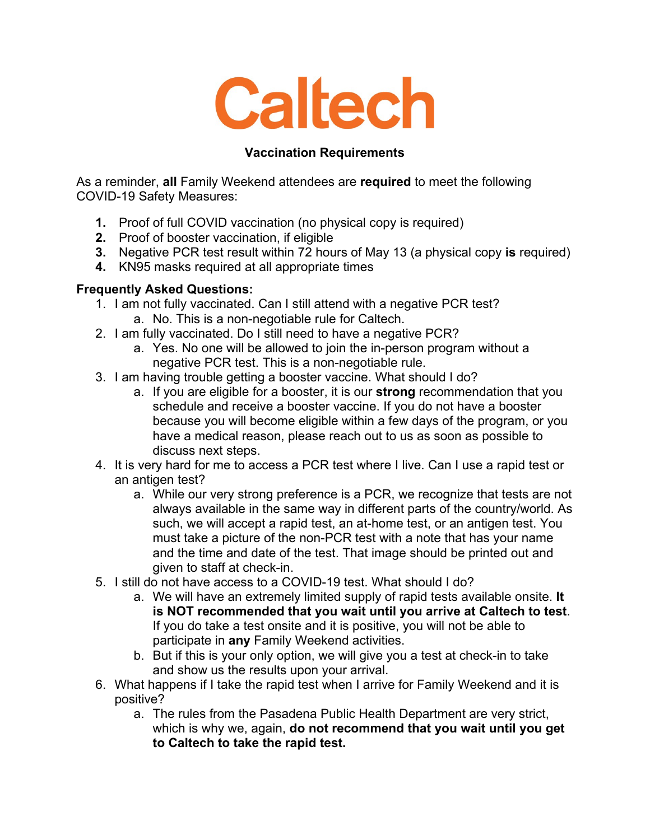

## **Vaccination Requirements**

As a reminder, **all** Family Weekend attendees are **required** to meet the following COVID-19 Safety Measures:

- **1.** Proof of full COVID vaccination (no physical copy is required)
- **2.** Proof of booster vaccination, if eligible
- **3.** Negative PCR test result within 72 hours of May 13 (a physical copy **is** required)
- **4.** KN95 masks required at all appropriate times

## **Frequently Asked Questions:**

- 1. I am not fully vaccinated. Can I still attend with a negative PCR test? a. No. This is a non-negotiable rule for Caltech.
- 2. I am fully vaccinated. Do I still need to have a negative PCR?
	- a. Yes. No one will be allowed to join the in-person program without a negative PCR test. This is a non-negotiable rule.
- 3. I am having trouble getting a booster vaccine. What should I do?
	- a. If you are eligible for a booster, it is our **strong** recommendation that you schedule and receive a booster vaccine. If you do not have a booster because you will become eligible within a few days of the program, or you have a medical reason, please reach out to us as soon as possible to discuss next steps.
- 4. It is very hard for me to access a PCR test where I live. Can I use a rapid test or an antigen test?
	- a. While our very strong preference is a PCR, we recognize that tests are not always available in the same way in different parts of the country/world. As such, we will accept a rapid test, an at-home test, or an antigen test. You must take a picture of the non-PCR test with a note that has your name and the time and date of the test. That image should be printed out and given to staff at check-in.
- 5. I still do not have access to a COVID-19 test. What should I do?
	- a. We will have an extremely limited supply of rapid tests available onsite. **It is NOT recommended that you wait until you arrive at Caltech to test**. If you do take a test onsite and it is positive, you will not be able to participate in **any** Family Weekend activities.
	- b. But if this is your only option, we will give you a test at check-in to take and show us the results upon your arrival.
- 6. What happens if I take the rapid test when I arrive for Family Weekend and it is positive?
	- a. The rules from the Pasadena Public Health Department are very strict, which is why we, again, **do not recommend that you wait until you get to Caltech to take the rapid test.**